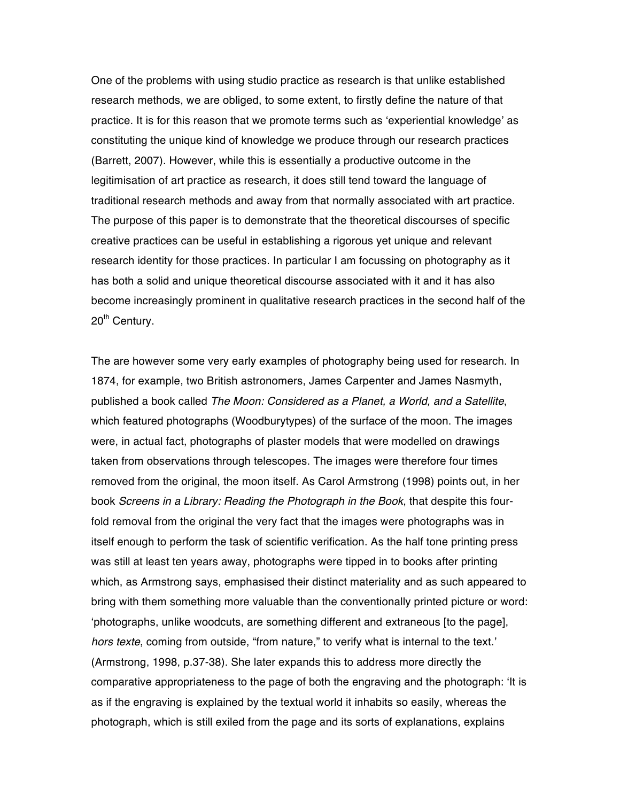One of the problems with using studio practice as research is that unlike established research methods, we are obliged, to some extent, to firstly define the nature of that practice. It is for this reason that we promote terms such as 'experiential knowledge' as constituting the unique kind of knowledge we produce through our research practices (Barrett, 2007). However, while this is essentially a productive outcome in the legitimisation of art practice as research, it does still tend toward the language of traditional research methods and away from that normally associated with art practice. The purpose of this paper is to demonstrate that the theoretical discourses of specific creative practices can be useful in establishing a rigorous yet unique and relevant research identity for those practices. In particular I am focussing on photography as it has both a solid and unique theoretical discourse associated with it and it has also become increasingly prominent in qualitative research practices in the second half of the 20<sup>th</sup> Century.

The are however some very early examples of photography being used for research. In 1874, for example, two British astronomers, James Carpenter and James Nasmyth, published a book called *The Moon: Considered as a Planet, a World, and a Satellite*, which featured photographs (Woodburytypes) of the surface of the moon. The images were, in actual fact, photographs of plaster models that were modelled on drawings taken from observations through telescopes. The images were therefore four times removed from the original, the moon itself. As Carol Armstrong (1998) points out, in her book *Screens in a Library: Reading the Photograph in the Book*, that despite this fourfold removal from the original the very fact that the images were photographs was in itself enough to perform the task of scientific verification. As the half tone printing press was still at least ten years away, photographs were tipped in to books after printing which, as Armstrong says, emphasised their distinct materiality and as such appeared to bring with them something more valuable than the conventionally printed picture or word: 'photographs, unlike woodcuts, are something different and extraneous [to the page], *hors texte*, coming from outside, "from nature," to verify what is internal to the text.' (Armstrong, 1998, p.37-38). She later expands this to address more directly the comparative appropriateness to the page of both the engraving and the photograph: 'It is as if the engraving is explained by the textual world it inhabits so easily, whereas the photograph, which is still exiled from the page and its sorts of explanations, explains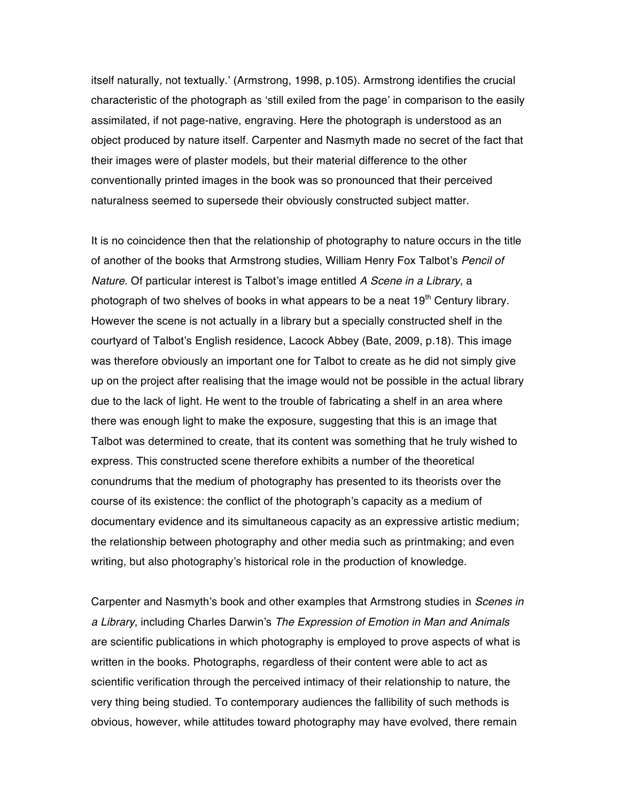itself naturally, not textually.' (Armstrong, 1998, p.105). Armstrong identifies the crucial characteristic of the photograph as 'still exiled from the page' in comparison to the easily assimilated, if not page-native, engraving. Here the photograph is understood as an object produced by nature itself. Carpenter and Nasmyth made no secret of the fact that their images were of plaster models, but their material difference to the other conventionally printed images in the book was so pronounced that their perceived naturalness seemed to supersede their obviously constructed subject matter.

It is no coincidence then that the relationship of photography to nature occurs in the title of another of the books that Armstrong studies, William Henry Fox Talbot's *Pencil of Nature*. Of particular interest is Talbot's image entitled *A Scene in a Library*, a photograph of two shelves of books in what appears to be a neat  $19<sup>th</sup>$  Century library. However the scene is not actually in a library but a specially constructed shelf in the courtyard of Talbot's English residence, Lacock Abbey (Bate, 2009, p.18). This image was therefore obviously an important one for Talbot to create as he did not simply give up on the project after realising that the image would not be possible in the actual library due to the lack of light. He went to the trouble of fabricating a shelf in an area where there was enough light to make the exposure, suggesting that this is an image that Talbot was determined to create, that its content was something that he truly wished to express. This constructed scene therefore exhibits a number of the theoretical conundrums that the medium of photography has presented to its theorists over the course of its existence: the conflict of the photograph's capacity as a medium of documentary evidence and its simultaneous capacity as an expressive artistic medium; the relationship between photography and other media such as printmaking; and even writing, but also photography's historical role in the production of knowledge.

Carpenter and Nasmyth's book and other examples that Armstrong studies in *Scenes in a Library*, including Charles Darwin's *The Expression of Emotion in Man and Animals* are scientific publications in which photography is employed to prove aspects of what is written in the books. Photographs, regardless of their content were able to act as scientific verification through the perceived intimacy of their relationship to nature, the very thing being studied. To contemporary audiences the fallibility of such methods is obvious, however, while attitudes toward photography may have evolved, there remain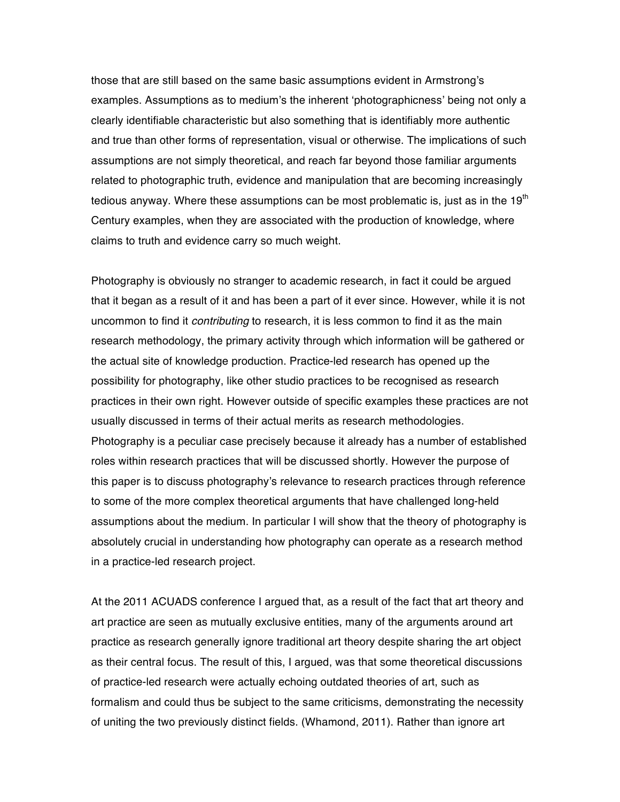those that are still based on the same basic assumptions evident in Armstrong's examples. Assumptions as to medium's the inherent 'photographicness' being not only a clearly identifiable characteristic but also something that is identifiably more authentic and true than other forms of representation, visual or otherwise. The implications of such assumptions are not simply theoretical, and reach far beyond those familiar arguments related to photographic truth, evidence and manipulation that are becoming increasingly tedious anyway. Where these assumptions can be most problematic is, just as in the  $19<sup>th</sup>$ Century examples, when they are associated with the production of knowledge, where claims to truth and evidence carry so much weight.

Photography is obviously no stranger to academic research, in fact it could be argued that it began as a result of it and has been a part of it ever since. However, while it is not uncommon to find it *contributing* to research, it is less common to find it as the main research methodology, the primary activity through which information will be gathered or the actual site of knowledge production. Practice-led research has opened up the possibility for photography, like other studio practices to be recognised as research practices in their own right. However outside of specific examples these practices are not usually discussed in terms of their actual merits as research methodologies. Photography is a peculiar case precisely because it already has a number of established roles within research practices that will be discussed shortly. However the purpose of this paper is to discuss photography's relevance to research practices through reference to some of the more complex theoretical arguments that have challenged long-held assumptions about the medium. In particular I will show that the theory of photography is absolutely crucial in understanding how photography can operate as a research method in a practice-led research project.

At the 2011 ACUADS conference I argued that, as a result of the fact that art theory and art practice are seen as mutually exclusive entities, many of the arguments around art practice as research generally ignore traditional art theory despite sharing the art object as their central focus. The result of this, I argued, was that some theoretical discussions of practice-led research were actually echoing outdated theories of art, such as formalism and could thus be subject to the same criticisms, demonstrating the necessity of uniting the two previously distinct fields. (Whamond, 2011). Rather than ignore art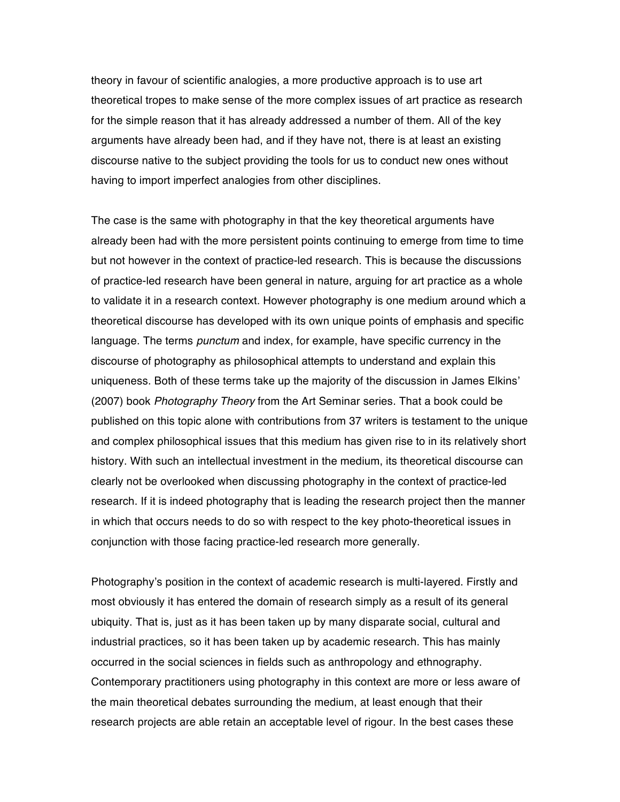theory in favour of scientific analogies, a more productive approach is to use art theoretical tropes to make sense of the more complex issues of art practice as research for the simple reason that it has already addressed a number of them. All of the key arguments have already been had, and if they have not, there is at least an existing discourse native to the subject providing the tools for us to conduct new ones without having to import imperfect analogies from other disciplines.

The case is the same with photography in that the key theoretical arguments have already been had with the more persistent points continuing to emerge from time to time but not however in the context of practice-led research. This is because the discussions of practice-led research have been general in nature, arguing for art practice as a whole to validate it in a research context. However photography is one medium around which a theoretical discourse has developed with its own unique points of emphasis and specific language. The terms *punctum* and index, for example, have specific currency in the discourse of photography as philosophical attempts to understand and explain this uniqueness. Both of these terms take up the majority of the discussion in James Elkins' (2007) book *Photography Theory* from the Art Seminar series. That a book could be published on this topic alone with contributions from 37 writers is testament to the unique and complex philosophical issues that this medium has given rise to in its relatively short history. With such an intellectual investment in the medium, its theoretical discourse can clearly not be overlooked when discussing photography in the context of practice-led research. If it is indeed photography that is leading the research project then the manner in which that occurs needs to do so with respect to the key photo-theoretical issues in conjunction with those facing practice-led research more generally.

Photography's position in the context of academic research is multi-layered. Firstly and most obviously it has entered the domain of research simply as a result of its general ubiquity. That is, just as it has been taken up by many disparate social, cultural and industrial practices, so it has been taken up by academic research. This has mainly occurred in the social sciences in fields such as anthropology and ethnography. Contemporary practitioners using photography in this context are more or less aware of the main theoretical debates surrounding the medium, at least enough that their research projects are able retain an acceptable level of rigour. In the best cases these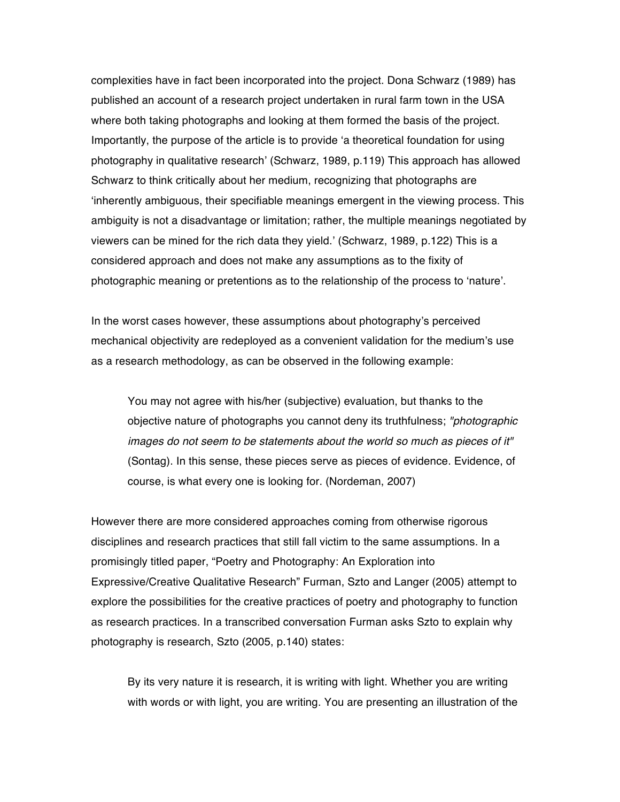complexities have in fact been incorporated into the project. Dona Schwarz (1989) has published an account of a research project undertaken in rural farm town in the USA where both taking photographs and looking at them formed the basis of the project. Importantly, the purpose of the article is to provide 'a theoretical foundation for using photography in qualitative research' (Schwarz, 1989, p.119) This approach has allowed Schwarz to think critically about her medium, recognizing that photographs are 'inherently ambiguous, their specifiable meanings emergent in the viewing process. This ambiguity is not a disadvantage or limitation; rather, the multiple meanings negotiated by viewers can be mined for the rich data they yield.' (Schwarz, 1989, p.122) This is a considered approach and does not make any assumptions as to the fixity of photographic meaning or pretentions as to the relationship of the process to 'nature'.

In the worst cases however, these assumptions about photography's perceived mechanical objectivity are redeployed as a convenient validation for the medium's use as a research methodology, as can be observed in the following example:

You may not agree with his/her (subjective) evaluation, but thanks to the objective nature of photographs you cannot deny its truthfulness; *"photographic images do not seem to be statements about the world so much as pieces of it"* (Sontag). In this sense, these pieces serve as pieces of evidence. Evidence, of course, is what every one is looking for. (Nordeman, 2007)

However there are more considered approaches coming from otherwise rigorous disciplines and research practices that still fall victim to the same assumptions. In a promisingly titled paper, "Poetry and Photography: An Exploration into Expressive/Creative Qualitative Research" Furman, Szto and Langer (2005) attempt to explore the possibilities for the creative practices of poetry and photography to function as research practices. In a transcribed conversation Furman asks Szto to explain why photography is research, Szto (2005, p.140) states:

By its very nature it is research, it is writing with light. Whether you are writing with words or with light, you are writing. You are presenting an illustration of the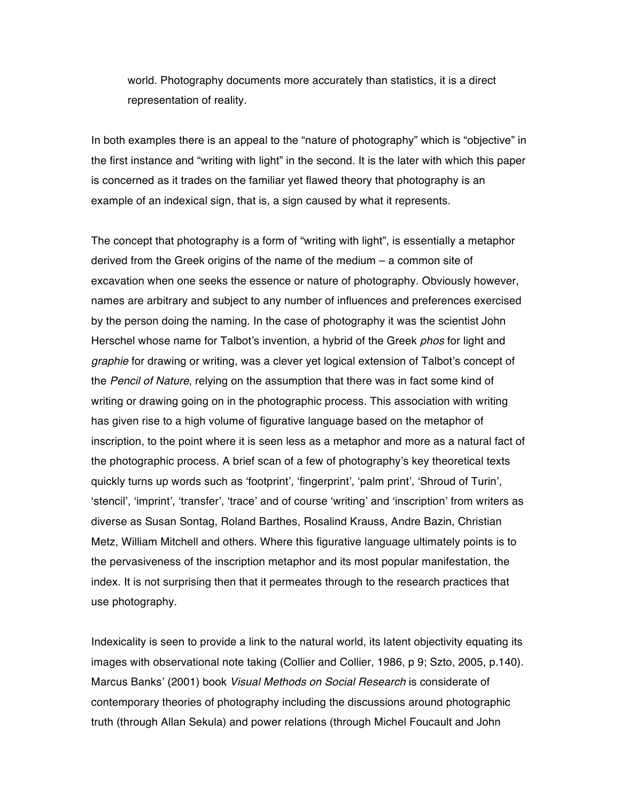world. Photography documents more accurately than statistics, it is a direct representation of reality.

In both examples there is an appeal to the "nature of photography" which is "objective" in the first instance and "writing with light" in the second. It is the later with which this paper is concerned as it trades on the familiar yet flawed theory that photography is an example of an indexical sign, that is, a sign caused by what it represents.

The concept that photography is a form of "writing with light", is essentially a metaphor derived from the Greek origins of the name of the medium – a common site of excavation when one seeks the essence or nature of photography. Obviously however, names are arbitrary and subject to any number of influences and preferences exercised by the person doing the naming. In the case of photography it was the scientist John Herschel whose name for Talbot's invention, a hybrid of the Greek *phos* for light and *graphie* for drawing or writing, was a clever yet logical extension of Talbot's concept of the *Pencil of Nature*, relying on the assumption that there was in fact some kind of writing or drawing going on in the photographic process. This association with writing has given rise to a high volume of figurative language based on the metaphor of inscription, to the point where it is seen less as a metaphor and more as a natural fact of the photographic process. A brief scan of a few of photography's key theoretical texts quickly turns up words such as 'footprint', 'fingerprint', 'palm print', 'Shroud of Turin', 'stencil', 'imprint', 'transfer', 'trace' and of course 'writing' and 'inscription' from writers as diverse as Susan Sontag, Roland Barthes, Rosalind Krauss, Andre Bazin, Christian Metz, William Mitchell and others. Where this figurative language ultimately points is to the pervasiveness of the inscription metaphor and its most popular manifestation, the index. It is not surprising then that it permeates through to the research practices that use photography.

Indexicality is seen to provide a link to the natural world, its latent objectivity equating its images with observational note taking (Collier and Collier, 1986, p 9; Szto, 2005, p.140). Marcus Banks' (2001) book *Visual Methods on Social Research* is considerate of contemporary theories of photography including the discussions around photographic truth (through Allan Sekula) and power relations (through Michel Foucault and John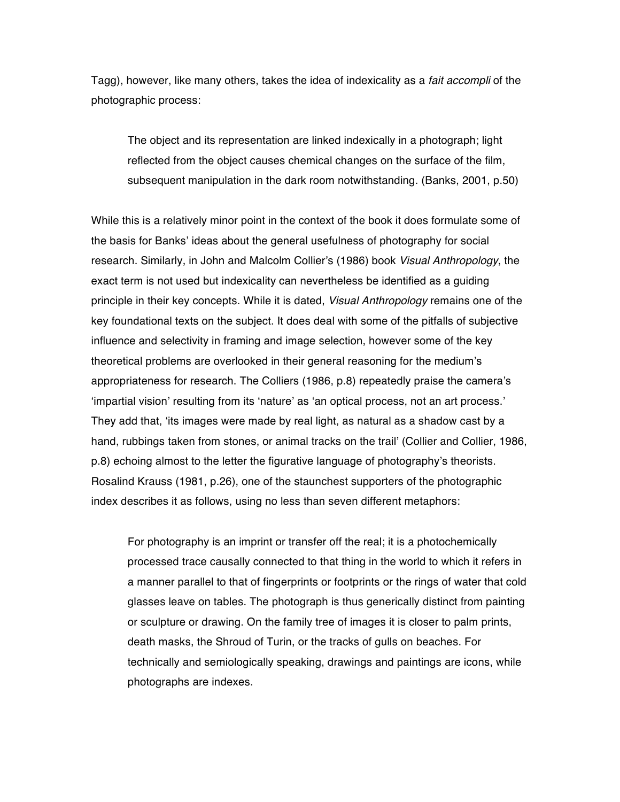Tagg), however, like many others, takes the idea of indexicality as a *fait accompli* of the photographic process:

The object and its representation are linked indexically in a photograph; light reflected from the object causes chemical changes on the surface of the film, subsequent manipulation in the dark room notwithstanding. (Banks, 2001, p.50)

While this is a relatively minor point in the context of the book it does formulate some of the basis for Banks' ideas about the general usefulness of photography for social research. Similarly, in John and Malcolm Collier's (1986) book *Visual Anthropology*, the exact term is not used but indexicality can nevertheless be identified as a guiding principle in their key concepts. While it is dated, *Visual Anthropology* remains one of the key foundational texts on the subject. It does deal with some of the pitfalls of subjective influence and selectivity in framing and image selection, however some of the key theoretical problems are overlooked in their general reasoning for the medium's appropriateness for research. The Colliers (1986, p.8) repeatedly praise the camera's 'impartial vision' resulting from its 'nature' as 'an optical process, not an art process.' They add that, 'its images were made by real light, as natural as a shadow cast by a hand, rubbings taken from stones, or animal tracks on the trail' (Collier and Collier, 1986, p.8) echoing almost to the letter the figurative language of photography's theorists. Rosalind Krauss (1981, p.26), one of the staunchest supporters of the photographic index describes it as follows, using no less than seven different metaphors:

For photography is an imprint or transfer off the real; it is a photochemically processed trace causally connected to that thing in the world to which it refers in a manner parallel to that of fingerprints or footprints or the rings of water that cold glasses leave on tables. The photograph is thus generically distinct from painting or sculpture or drawing. On the family tree of images it is closer to palm prints, death masks, the Shroud of Turin, or the tracks of gulls on beaches. For technically and semiologically speaking, drawings and paintings are icons, while photographs are indexes.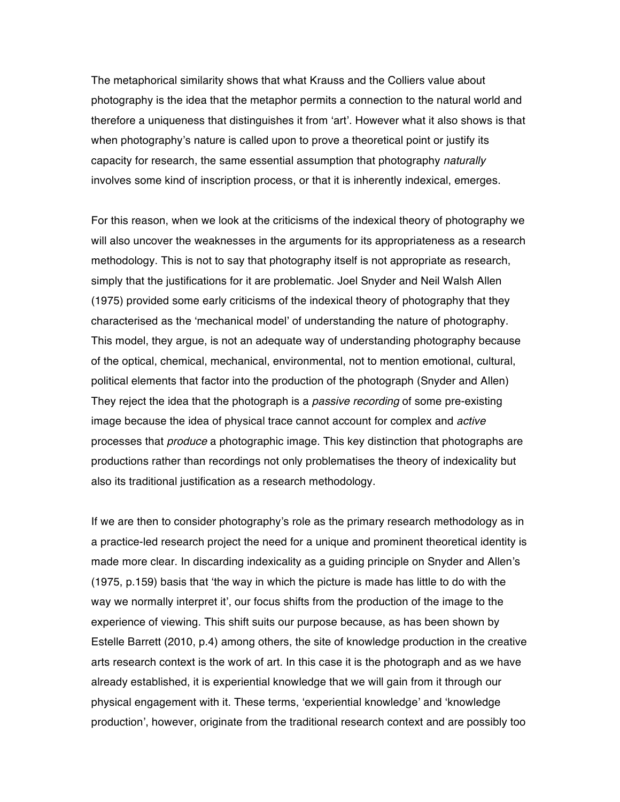The metaphorical similarity shows that what Krauss and the Colliers value about photography is the idea that the metaphor permits a connection to the natural world and therefore a uniqueness that distinguishes it from 'art'. However what it also shows is that when photography's nature is called upon to prove a theoretical point or justify its capacity for research, the same essential assumption that photography *naturally* involves some kind of inscription process, or that it is inherently indexical, emerges.

For this reason, when we look at the criticisms of the indexical theory of photography we will also uncover the weaknesses in the arguments for its appropriateness as a research methodology. This is not to say that photography itself is not appropriate as research, simply that the justifications for it are problematic. Joel Snyder and Neil Walsh Allen (1975) provided some early criticisms of the indexical theory of photography that they characterised as the 'mechanical model' of understanding the nature of photography. This model, they argue, is not an adequate way of understanding photography because of the optical, chemical, mechanical, environmental, not to mention emotional, cultural, political elements that factor into the production of the photograph (Snyder and Allen) They reject the idea that the photograph is a *passive recording* of some pre-existing image because the idea of physical trace cannot account for complex and *active* processes that *produce* a photographic image. This key distinction that photographs are productions rather than recordings not only problematises the theory of indexicality but also its traditional justification as a research methodology.

If we are then to consider photography's role as the primary research methodology as in a practice-led research project the need for a unique and prominent theoretical identity is made more clear. In discarding indexicality as a guiding principle on Snyder and Allen's (1975, p.159) basis that 'the way in which the picture is made has little to do with the way we normally interpret it', our focus shifts from the production of the image to the experience of viewing. This shift suits our purpose because, as has been shown by Estelle Barrett (2010, p.4) among others, the site of knowledge production in the creative arts research context is the work of art. In this case it is the photograph and as we have already established, it is experiential knowledge that we will gain from it through our physical engagement with it. These terms, 'experiential knowledge' and 'knowledge production', however, originate from the traditional research context and are possibly too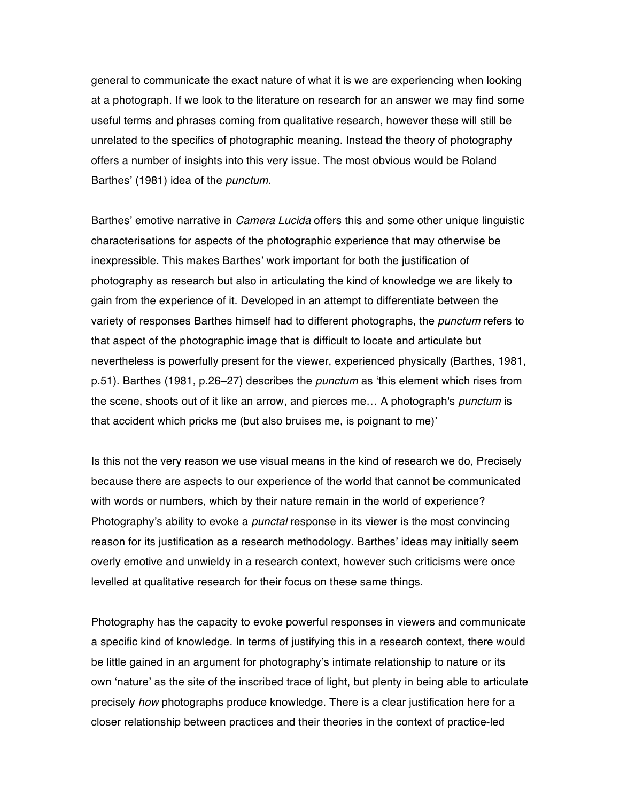general to communicate the exact nature of what it is we are experiencing when looking at a photograph. If we look to the literature on research for an answer we may find some useful terms and phrases coming from qualitative research, however these will still be unrelated to the specifics of photographic meaning. Instead the theory of photography offers a number of insights into this very issue. The most obvious would be Roland Barthes' (1981) idea of the *punctum*.

Barthes' emotive narrative in *Camera Lucida* offers this and some other unique linguistic characterisations for aspects of the photographic experience that may otherwise be inexpressible. This makes Barthes' work important for both the justification of photography as research but also in articulating the kind of knowledge we are likely to gain from the experience of it. Developed in an attempt to differentiate between the variety of responses Barthes himself had to different photographs, the *punctum* refers to that aspect of the photographic image that is difficult to locate and articulate but nevertheless is powerfully present for the viewer, experienced physically (Barthes, 1981, p.51). Barthes (1981, p.26–27) describes the *punctum* as 'this element which rises from the scene, shoots out of it like an arrow, and pierces me… A photograph's *punctum* is that accident which pricks me (but also bruises me, is poignant to me)'

Is this not the very reason we use visual means in the kind of research we do, Precisely because there are aspects to our experience of the world that cannot be communicated with words or numbers, which by their nature remain in the world of experience? Photography's ability to evoke a *punctal* response in its viewer is the most convincing reason for its justification as a research methodology. Barthes' ideas may initially seem overly emotive and unwieldy in a research context, however such criticisms were once levelled at qualitative research for their focus on these same things.

Photography has the capacity to evoke powerful responses in viewers and communicate a specific kind of knowledge. In terms of justifying this in a research context, there would be little gained in an argument for photography's intimate relationship to nature or its own 'nature' as the site of the inscribed trace of light, but plenty in being able to articulate precisely *how* photographs produce knowledge. There is a clear justification here for a closer relationship between practices and their theories in the context of practice-led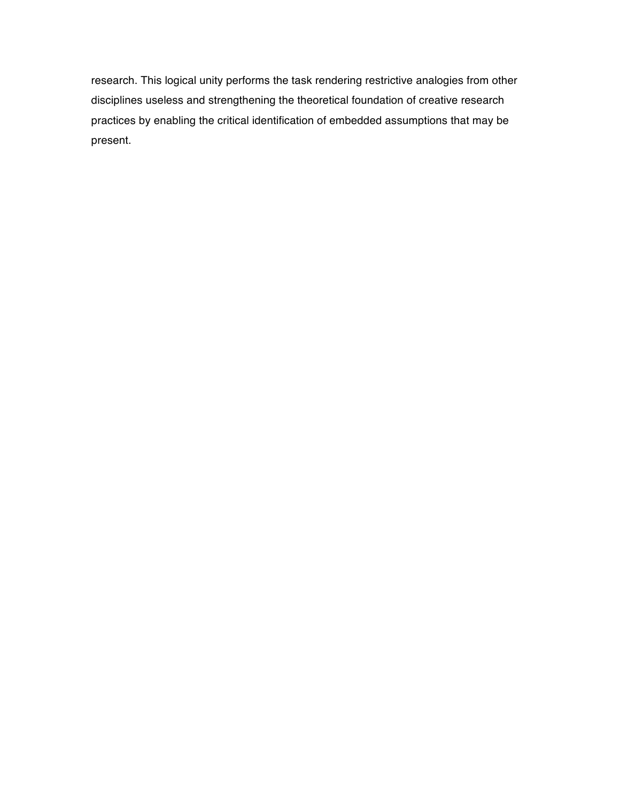research. This logical unity performs the task rendering restrictive analogies from other disciplines useless and strengthening the theoretical foundation of creative research practices by enabling the critical identification of embedded assumptions that may be present.